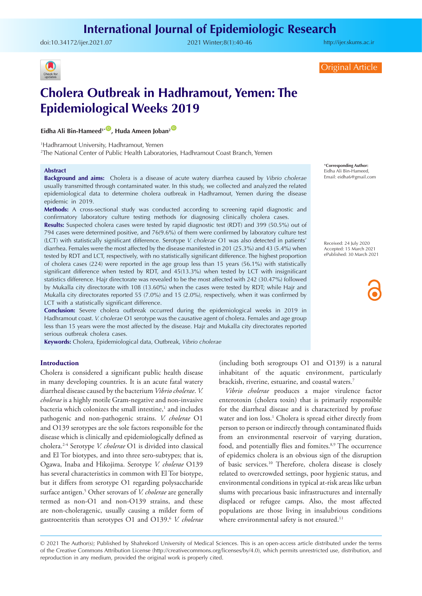## **International Journal of Epidemiologic Research**

doi:[10.34172/ijer.2021.07](https://doi.org/10.34172/ijer.2021.07) 2021 Winter;8(1):40-46

<http://ijer.skums.ac.ir>



Original Article

# **Cholera Outbreak in Hadhramout, Yemen: The Epidemiological Weeks 2019**

**Eidha Ali Bin-Hameed<sup>1\*</sub><sup>1</sup> Huda Ameen Joban<sup>2</sup>**</sup>

1 Hadhramout University, Hadhramout, Yemen

2 The National Center of Public Health Laboratories, Hadhramout Coast Branch, Yemen

#### **Abstract**

**Background and aims:** Cholera is a disease of acute watery diarrhea caused by *Vibrio cholerae* usually transmitted through contaminated water. In this study, we collected and analyzed the related epidemiological data to determine cholera outbreak in Hadhramout, Yemen during the disease epidemic in 2019.

**Methods:** A cross-sectional study was conducted according to screening rapid diagnostic and confirmatory laboratory culture testing methods for diagnosing clinically cholera cases.

**Results:** Suspected cholera cases were tested by rapid diagnostic test (RDT) and 399 (50.5%) out of 794 cases were determined positive, and 76(9.6%) of them were confirmed by laboratory culture test (LCT) with statistically significant difference. Serotype *V. cholerae* O1 was also detected in patients' diarrhea. Females were the most affected by the disease manifested in 201 (25.3%) and 43 (5.4%) when tested by RDT and LCT, respectively, with no statistically significant difference. The highest proportion of cholera cases (224) were reported in the age group less than 15 years (56.1%) with statistically significant difference when tested by RDT, and 45(13.3%) when tested by LCT with insignificant statistics difference. Hajr directorate was revealed to be the most affected with 242 (30.47%) followed by Mukalla city directorate with 108 (13.60%) when the cases were tested by RDT; while Hajr and Mukalla city directorates reported 55 (7.0%) and 15 (2.0%), respectively, when it was confirmed by LCT with a statistically significant difference.

**Conclusion:** Severe cholera outbreak occurred during the epidemiological weeks in 2019 in Hadhramout coast. *V. cholerae* O1 serotype was the causative agent of cholera. Females and age group less than 15 years were the most affected by the disease. Hajr and Mukalla city directorates reported serious outbreak cholera cases.

**Keywords:** Cholera, Epidemiological data, Outbreak, *Vibrio cholerae*

#### **Introduction**

Cholera is considered a significant public health disease in many developing countries. It is an acute fatal watery diarrheal disease caused by the bacterium *Vibrio cholerae*. *V. cholerae* is a highly motile Gram-negative and non-invasive bacteria which colonizes the small intestine,<sup>1</sup> and includes pathogenic and non-pathogenic strains. *V. cholerae* O1 and O139 serotypes are the sole factors responsible for the disease which is clinically and epidemiologically defined as cholera.2-4 Serotype *V. cholerae* O1 is divided into classical and El Tor biotypes, and into three sero-subtypes; that is, Ogawa, Inaba and Hikojima. Serotype *V. cholerae* O139 has several characteristics in common with El Tor biotype, but it differs from serotype O1 regarding polysaccharide surface antigen.5 Other serovars of *V. cholerae* are generally termed as non-O1 and non-O139 strains, and these are non-choleragenic, usually causing a milder form of gastroenteritis than serotypes O1 and O139.6 *V. cholerae*

\***Corresponding Author:** Eidha Ali Bin-Hameed, Email: eidha6@gmail.com

Received: 24 July 2020 Accepted: 15 March 2021 ePublished: 30 March 2021

(including both serogroups O1 and O139) is a natural inhabitant of the aquatic environment, particularly brackish, riverine, estuarine, and coastal waters.7

*Vibrio cholerae* produces a major virulence factor enterotoxin (cholera toxin) that is primarily responsible for the diarrheal disease and is characterized by profuse water and ion loss.<sup>1</sup> Cholera is spread either directly from person to person or indirectly through contaminated fluids from an environmental reservoir of varying duration, food, and potentially flies and fomites.<sup>8,9</sup> The occurrence of epidemics cholera is an obvious sign of the disruption of basic services.10 Therefore, cholera disease is closely related to overcrowded settings, poor hygienic status, and environmental conditions in typical at-risk areas like urban slums with precarious basic infrastructures and internally displaced or refugee camps. Also, the most affected populations are those living in insalubrious conditions where environmental safety is not ensured.<sup>11</sup>

© 2021 The Author(s); Published by Shahrekord University of Medical Sciences. This is an open-access article distributed under the terms of the Creative Commons Attribution License (http://creativecommons.org/licenses/by/4.0), which permits unrestricted use, distribution, and reproduction in any medium, provided the original work is properly cited.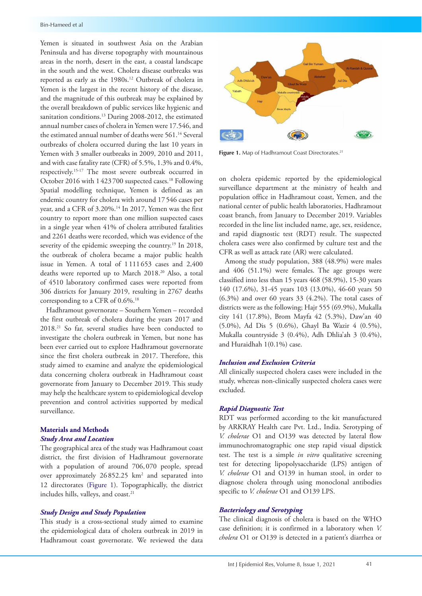Yemen is situated in southwest Asia on the Arabian Peninsula and has diverse topography with mountainous areas in the north, desert in the east, a coastal landscape in the south and the west. Cholera disease outbreaks was reported as early as the 1980s.<sup>12</sup> Outbreak of cholera in Yemen is the largest in the recent history of the disease, and the magnitude of this outbreak may be explained by the overall breakdown of public services like hygienic and sanitation conditions.<sup>13</sup> During 2008-2012, the estimated annual number cases of cholera in Yemen were 17.546, and the estimated annual number of deaths were 561.<sup>14</sup> Several outbreaks of cholera occurred during the last 10 years in Yemen with 3 smaller outbreaks in 2009, 2010 and 2011, and with case fatality rate (CFR) of 5.5%, 1.3% and 0.4%, respectively.15-17 The most severe outbreak occurred in October 2016 with 1423700 suspected cases.<sup>18</sup> Following Spatial modelling technique, Yemen is defined as an endemic country for cholera with around 17546 cases per year, and a CFR of 3.20%.<sup>14</sup> In 2017, Yemen was the first country to report more than one million suspected cases in a single year when 41% of cholera attributed fatalities and 2261 deaths were recorded, which was evidence of the severity of the epidemic sweeping the country.<sup>19</sup> In 2018, the outbreak of cholera became a major public health issue in Yemen. A total of 1111 653 cases and 2,400 deaths were reported up to March 2018.20 Also, a total of 4510 laboratory confirmed cases were reported from 306 districts for January 2019, resulting in 2767 deaths corresponding to a CFR of 0.6%.18

Hadhramout governorate – Southern Yemen – recorded the first outbreak of cholera during the years 2017 and 2018.21 So far, several studies have been conducted to investigate the cholera outbreak in Yemen, but none has been ever carried out to explore Hadhramout governorate since the first cholera outbreak in 2017. Therefore, this study aimed to examine and analyze the epidemiological data concerning cholera outbreak in Hadhramout coast governorate from January to December 2019. This study may help the healthcare system to epidemiological develop prevention and control activities supported by medical surveillance.

## **Materials and Methods** *Study Area and Location*

The geographical area of the study was Hadhramout coast district, the first division of Hadhramout governorate with a population of around 706, 070 people, spread over approximately  $26852.25 \text{ km}^2$  and separated into 12 directorates ([Figure](#page-1-0) 1). Topographically, the district includes hills, valleys, and coast.<sup>21</sup>

#### *Study Design and Study Population*

This study is a cross-sectional study aimed to examine the epidemiological data of cholera outbreak in 2019 in Hadhramout coast governorate. We reviewed the data

<span id="page-1-0"></span>

Figure 1. Map of Hadhramout Coast Directorates.<sup>21</sup>

on cholera epidemic reported by the epidemiological surveillance department at the ministry of health and population office in Hadhramout coast, Yemen, and the national center of public health laboratories, Hadhramout coast branch, from January to December 2019. Variables recorded in the line list included name, age, sex, residence, and rapid diagnostic test (RDT) result. The suspected cholera cases were also confirmed by culture test and the CFR as well as attack rate (AR) were calculated.

Among the study population, 388 (48.9%) were males and 406 (51.1%) were females. The age groups were classified into less than 15 years 468 (58.9%), 15-30 years 140 (17.6%), 31-45 years 103 (13.0%), 46-60 years 50 (6.3%) and over 60 years 33 (4.2%). The total cases of districts were as the following; Hajr 555 (69.9%), Mukalla city 141 (17.8%), Brom Mayfa 42 (5.3%), Daw'an 40 (5.0%), Ad Dis 5 (0.6%), Ghayl Ba Wazir 4 (0.5%), Mukalla countryside 3 (0.4%), Adh Dhlia'ah 3 (0.4%), and Huraidhah 1(0.1%) case.

## *Inclusion and Exclusion Criteria*

All clinically suspected cholera cases were included in the study, whereas non-clinically suspected cholera cases were excluded.

#### *Rapid Diagnostic Test*

RDT was performed according to the kit manufactured by ARKRAY Health care Pvt. Ltd., India. Serotyping of *V. cholerae* O1 and O139 was detected by lateral flow immunochromatographic one step rapid visual dipstick test. The test is a simple *in vitro* qualitative screening test for detecting lipopolysaccharide (LPS) antigen of *V. cholerae* O1 and O139 in human stool, in order to diagnose cholera through using monoclonal antibodies specific to *V. cholerae* O1 and O139 LPS.

## *Bacteriology and Serotyping*

The clinical diagnosis of cholera is based on the WHO case definition; it is confirmed in a laboratory when *V. cholera* O1 or O139 is detected in a patient's diarrhea or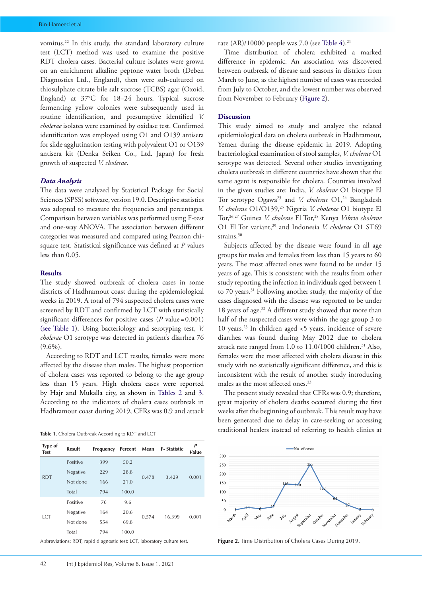vomitus.22 In this study, the standard laboratory culture test (LCT) method was used to examine the positive RDT cholera cases. Bacterial culture isolates were grown on an enrichment alkaline peptone water broth (Deben Diagnostics Ltd., England), then were sub-cultured on thiosulphate citrate bile salt sucrose (TCBS) agar (Oxoid, England) at 37°C for 18–24 hours. Typical sucrose fermenting yellow colonies were subsequently used in routine identification, and presumptive identified *V. cholerae* isolates were examined by oxidase test. Confirmed identification was employed using O1 and O139 antisera for slide agglutination testing with polyvalent O1 or O139 antisera kit (Denka Seiken Co., Ltd. Japan) for fresh growth of suspected *V. cholerae*.

## *Data Analysis*

The data were analyzed by Statistical Package for Social Sciences (SPSS) software, version 19.0. Descriptive statistics was adopted to measure the frequencies and percentages. Comparison between variables was performed using F-test and one-way ANOVA. The association between different categories was measured and compared using Pearson chisquare test. Statistical significance was defined at *P* values less than 0.05.

#### **Results**

The study showed outbreak of cholera cases in some districts of Hadhramout coast during the epidemiological weeks in 2019. A total of 794 suspected cholera cases were screened by RDT and confirmed by LCT with statistically significant differences for positive cases  $(P \text{ value} = 0.001)$ (see [Table](#page-2-0) 1). Using bacteriology and serotyping test, *V. cholerae* O1 serotype was detected in patient's diarrhea 76  $(9.6\%)$ .

According to RDT and LCT results, females were more affected by the disease than males. The highest proportion of cholera cases was reported to belong to the age group less than 15 years. High cholera cases were reported by Hajr and Mukalla city, as shown in [Tables 2](#page-3-0) and [3](#page-3-1). According to the indicators of cholera cases outbreak in Hadhramout coast during 2019, CFRs was 0.9 and attack

<span id="page-2-0"></span>

| Type of<br><b>Test</b> | <b>Result</b> | Frequency | Percent | Mean  | <b>F-Statistic</b> | P<br>Value |
|------------------------|---------------|-----------|---------|-------|--------------------|------------|
| <b>RDT</b>             | Positive      | 399       | 50.2    |       | 3.429              | 0.001      |
|                        | Negative      | 229       | 28.8    |       |                    |            |
|                        | Not done      | 166       | 21.0    | 0.478 |                    |            |
|                        | Total         | 794       | 100.0   |       |                    |            |
| <b>LCT</b>             | Positive      | 76        | 9.6     |       |                    | 0.001      |
|                        | Negative      | 164       | 20.6    |       |                    |            |
|                        | Not done      | 554       | 69.8    | 0.574 | 16.399             |            |
|                        | Total         | 794       | 100.0   |       |                    |            |

Abbreviations: RDT, rapid diagnostic test; LCT, laboratory culture test.

rate  $(AR)/10000$  people was 7.0 (see [Table](#page-4-0) 4).<sup>21</sup>

Time distribution of cholera exhibited a marked difference in epidemic. An association was discovered between outbreak of disease and seasons in districts from March to June, as the highest number of cases was recorded from July to October, and the lowest number was observed from November to February [\(Figure](#page-2-1) 2).

#### **Discussion**

This study aimed to study and analyze the related epidemiological data on cholera outbreak in Hadhramout, Yemen during the disease epidemic in 2019. Adopting bacteriological examination of stool samples, *V. cholerae* O1 serotype was detected. Several other studies investigating cholera outbreak in different countries have shown that the same agent is responsible for cholera. Countries involved in the given studies are: India, *V. cholerae* O1 biotype El Tor serotype Ogawa<sup>23</sup> and *V. cholerae* O1,<sup>24</sup> Bangladesh *V. cholerae* O1/O139,<sup>25</sup> Nigeria *V. cholerae* O1 biotype El Tor,26,27 Guinea *V. cholerae* El Tor,28 Kenya *Vibrio cholerae* O1 El Tor variant,<sup>29</sup> and Indonesia *V. cholerae* O1 ST69 strains.<sup>30</sup>

Subjects affected by the disease were found in all age groups for males and females from less than 15 years to 60 years. The most affected ones were found to be under 15 years of age. This is consistent with the results from other study reporting the infection in individuals aged between 1 to 70 years.31 Following another study, the majority of the cases diagnosed with the disease was reported to be under 18 years of age.32 A different study showed that more than half of the suspected cases were within the age group 3 to 10 years.23 In children aged <5 years, incidence of severe diarrhea was found during May 2012 due to cholera attack rate ranged from 1.0 to 11.0/1000 children.<sup>31</sup> Also, females were the most affected with cholera disease in this study with no statistically significant difference, and this is inconsistent with the result of another study introducing males as the most affected ones.<sup>23</sup>

The present study revealed that CFRs was 0.9; therefore, great majority of cholera deaths occurred during the first weeks after the beginning of outbreak. This result may have been generated due to delay in care-seeking or accessing traditional healers instead of referring to health clinics at **Table 1.** Cholera Outbreak According to RDT and LCT

<span id="page-2-1"></span>

**Figure 2.** Time Distribution of Cholera Cases During 2019.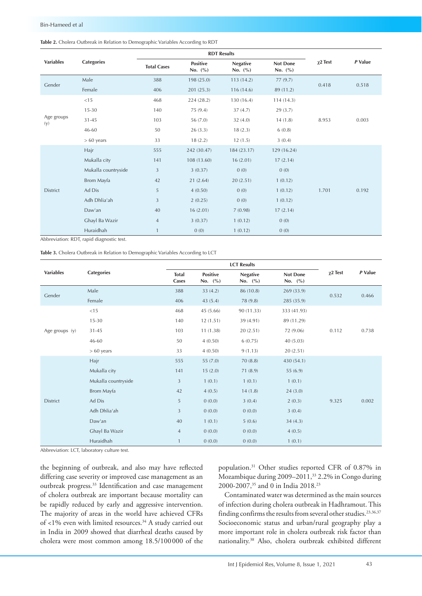#### <span id="page-3-0"></span>**Table 2.** Cholera Outbreak in Relation to Demographic Variables According to RDT

|                   | <b>Categories</b>   |                    | <b>RDT Results</b>             |                                |                         |               |         |
|-------------------|---------------------|--------------------|--------------------------------|--------------------------------|-------------------------|---------------|---------|
| <b>Variables</b>  |                     | <b>Total Cases</b> | <b>Positive</b><br>No. $(\% )$ | <b>Negative</b><br>No. $(\% )$ | Not Done<br>No. $(\% )$ | $\chi$ 2 Test | P Value |
| Gender            | Male                | 388                | 198 (25.0)                     | 113(14.2)                      | 77(9.7)                 | 0.418         | 0.518   |
|                   | Female              | 406                | 201(25.3)                      | 116(14.6)                      | 89 (11.2)               |               |         |
|                   | < 15                | 468                | 224 (28.2)                     | 130(16.4)                      | 114(14.3)               |               |         |
|                   | $15 - 30$           | 140                | 75 (9.4)                       | 37(4.7)                        | 29(3.7)                 |               |         |
| Age groups<br>(y) | $31 - 45$           | 103                | 56 (7.0)                       | 32(4.0)                        | 14(1.8)                 | 8.953         | 0.003   |
|                   | 46-60               | 50                 | 26(3.3)                        | 18(2.3)                        | 6(0.8)                  |               |         |
|                   | $> 60$ years        | 33                 | 18(2.2)                        | 12(1.5)                        | 3(0.4)                  |               |         |
| District          | Hajr                | 555                | 242 (30.47)                    | 184 (23.17)                    | 129 (16.24)             |               |         |
|                   | Mukalla city        | 141                | 108 (13.60)                    | 16(2.01)                       | 17(2.14)                |               |         |
|                   | Mukalla countryside | 3                  | 3(0.37)                        | 0(0)                           | 0(0)                    |               |         |
|                   | Brom Mayfa          | 42                 | 21(2.64)                       | 20(2.51)                       | 1(0.12)                 |               |         |
|                   | Ad Dis              | 5                  | 4(0.50)                        | 0(0)                           | 1(0.12)                 | 1.701         | 0.192   |
|                   | Adh Dhlia'ah        | 3                  | 2(0.25)                        | 0(0)                           | 1(0.12)                 |               |         |
|                   | Daw'an              | 40                 | 16(2.01)                       | 7(0.98)                        | 17(2.14)                |               |         |
|                   | Ghayl Ba Wazir      | $\overline{4}$     | 3(0.37)                        | 1(0.12)                        | 0(0)                    |               |         |
|                   | Huraidhah           | $\mathbf{1}$       | 0(0)                           | 1(0.12)                        | 0(0)                    |               |         |

Abbreviation: RDT, rapid diagnostic test.

<span id="page-3-1"></span>**Table 3.** Cholera Outbreak in Relation to Demographic Variables According to LCT

|                  |                     |                       | <b>LCT Results</b>             |                                |                                |               |         |
|------------------|---------------------|-----------------------|--------------------------------|--------------------------------|--------------------------------|---------------|---------|
| <b>Variables</b> | <b>Categories</b>   | <b>Total</b><br>Cases | <b>Positive</b><br>No. $(\% )$ | <b>Negative</b><br>No. $(\% )$ | <b>Not Done</b><br>No. $(\% )$ | $\chi$ 2 Test | P Value |
| Gender           | Male                | 388                   | 33(4.2)                        | 86 (10.8)                      | 269 (33.9)                     | 0.532         | 0.466   |
|                  | Female              | 406                   | 43(5.4)                        | 78 (9.8)                       | 285 (35.9)                     |               |         |
|                  | $<$ 15              | 468                   | 45(5.66)                       | 90 (11.33)                     | 333 (41.93)                    |               |         |
|                  | $15 - 30$           | 140                   | 12(1.51)                       | 39 (4.91)                      | 89 (11.29)                     |               |         |
| Age groups (y)   | $31 - 45$           | 103                   | 11(1.38)                       | 20(2.51)                       | 72 (9.06)                      | 0.112         | 0.738   |
|                  | 46-60               | 50                    | 4(0.50)                        | 6(0.75)                        | 40(5.03)                       |               |         |
|                  | $> 60$ years        | 33                    | 4(0.50)                        | 9(1.13)                        | 20(2.51)                       |               |         |
|                  | Hajr                | 555                   | 55 (7.0)                       | 70(8.8)                        | 430 (54.1)                     |               |         |
|                  | Mukalla city        | 141                   | 15(2.0)                        | 71 (8.9)                       | 55(6.9)                        |               |         |
| <b>District</b>  | Mukalla countryside | 3                     | 1(0.1)                         | 1(0.1)                         | 1(0.1)                         |               |         |
|                  | Brom Mayfa          | 42                    | 4(0.5)                         | 14(1.8)                        | 24(3.0)                        |               |         |
|                  | Ad Dis              | $\sqrt{5}$            | 0(0.0)                         | 3(0.4)                         | 2(0.3)                         | 9.325         | 0.002   |
|                  | Adh Dhlia'ah        | $\mathfrak{Z}$        | 0(0.0)                         | 0(0.0)                         | 3(0.4)                         |               |         |
|                  | Daw'an              | 40                    | 1(0.1)                         | 5(0.6)                         | 34(4.3)                        |               |         |
|                  | Ghayl Ba Wazir      | $\overline{4}$        | 0(0.0)                         | 0(0.0)                         | 4(0.5)                         |               |         |
|                  | Huraidhah           | $\mathbf{1}$          | 0(0.0)                         | 0(0.0)                         | 1(0.1)                         |               |         |

Abbreviation: LCT, laboratory culture test.

the beginning of outbreak, and also may have reflected differing case severity or improved case management as an outbreak progress.33 Identification and case management of cholera outbreak are important because mortality can be rapidly reduced by early and aggressive intervention. The majority of areas in the world have achieved CFRs of <1% even with limited resources.34 A study carried out in India in 2009 showed that diarrheal deaths caused by cholera were most common among 18.5/100000 of the

population.31 Other studies reported CFR of 0.87% in Mozambique during 2009–2011,33 2.2% in Congo during 2000-2007,<sup>35</sup> and 0 in India 2018.<sup>23</sup>

Contaminated water was determined as the main sources of infection during cholera outbreak in Hadhramout. This finding confirms the results from several other studies.<sup>23,36,37</sup> Socioeconomic status and urban/rural geography play a more important role in cholera outbreak risk factor than nationality.38 Also, cholera outbreak exhibited different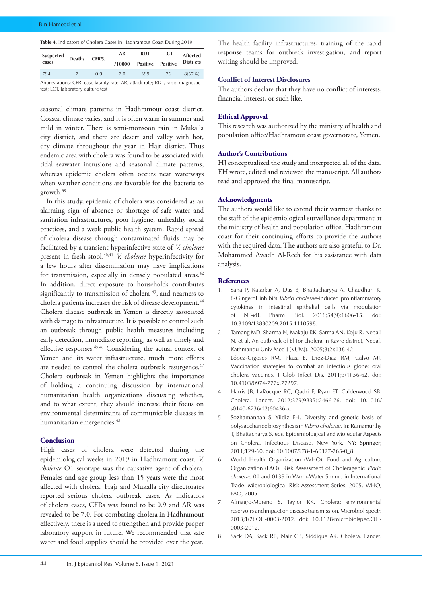<span id="page-4-0"></span>**Table 4.** Indicators of Cholera Cases in Hadhramout Coast During 2019

| <b>Suspected</b>                                                               | <b>Deaths</b> | CFR% | AR<br><b>RDT</b> |                 | LCT             | <b>Affected</b>  |  |
|--------------------------------------------------------------------------------|---------------|------|------------------|-----------------|-----------------|------------------|--|
| cases                                                                          |               |      | /10000           | <b>Positive</b> | <b>Positive</b> | <b>Districts</b> |  |
| 794                                                                            |               | 09   | 7 O              | 399             | 76              | $8(67\%)$        |  |
| Abbreviations: CFR, case fatality rate: AR, attack rate: RDT, rapid diagnostic |               |      |                  |                 |                 |                  |  |

test; LCT, laboratory culture test

seasonal climate patterns in Hadhramout coast district. Coastal climate varies, and it is often warm in summer and mild in winter. There is semi-monsoon rain in Mukalla city district, and there are desert and valley with hot, dry climate throughout the year in Hajr district. Thus endemic area with cholera was found to be associated with tidal seawater intrusions and seasonal climate patterns, whereas epidemic cholera often occurs near waterways when weather conditions are favorable for the bacteria to growth.39

In this study, epidemic of cholera was considered as an alarming sign of absence or shortage of safe water and sanitation infrastructures, poor hygiene, unhealthy social practices, and a weak public health system. Rapid spread of cholera disease through contaminated fluids may be facilitated by a transient hyperinfective state of *V. cholerae* present in fresh stool.40,41 *V. cholerae* hyperinfectivity for a few hours after dissemination may have implications for transmission, especially in densely populated areas.<sup>42</sup> In addition, direct exposure to households contributes significantly to transmission of cholera <sup>43</sup>, and nearness to cholera patients increases the risk of disease development.<sup>44</sup> Cholera disease outbreak in Yemen is directly associated with damage to infrastructure. It is possible to control such an outbreak through public health measures including early detection, immediate reporting, as well as timely and effective responses.45,46 Considering the actual context of Yemen and its water infrastructure, much more efforts are needed to control the cholera outbreak resurgence.<sup>47</sup> Cholera outbreak in Yemen highlights the importance of holding a continuing discussion by international humanitarian health organizations discussing whether, and to what extent, they should increase their focus on environmental determinants of communicable diseases in humanitarian emergencies.<sup>48</sup>

## **Conclusion**

High cases of cholera were detected during the epidemiological weeks in 2019 in Hadhramout coast. *V. cholerae* O1 serotype was the causative agent of cholera. Females and age group less than 15 years were the most affected with cholera. Hajr and Mukalla city directorates reported serious cholera outbreak cases. As indicators of cholera cases, CFRs was found to be 0.9 and AR was revealed to be 7.0. For combating cholera in Hadhramout effectively, there is a need to strengthen and provide proper laboratory support in future. We recommended that safe water and food supplies should be provided over the year.

The health facility infrastructures, training of the rapid response teams for outbreak investigation, and report writing should be improved.

## **Conflict of Interest Disclosures**

The authors declare that they have no conflict of interests, financial interest, or such like.

#### **Ethical Approval**

This research was authorized by the ministry of health and population office/Hadhramout coast governorate, Yemen.

#### **Author's Contributions**

HJ conceptualized the study and interpreted all of the data. EH wrote, edited and reviewed the manuscript. All authors read and approved the final manuscript.

#### **Acknowledgments**

The authors would like to extend their warmest thanks to the staff of the epidemiological surveillance department at the ministry of health and population office, Hadhramout coast for their continuing efforts to provide the authors with the required data. The authors are also grateful to Dr. Mohammed Awadh Al-Reeh for his assistance with data analysis.

#### **References**

- 1. Saha P, Katarkar A, Das B, Bhattacharyya A, Chaudhuri K. 6-Gingerol inhibits *Vibrio cholerae*-induced proinflammatory cytokines in intestinal epithelial cells via modulation of NF-κB. Pharm Biol. 2016;54(9):1606-15. 10.3109/13880209.2015.1110598.
- 2. Tamang MD, Sharma N, Makaju RK, Sarma AN, Koju R, Nepali N, et al. An outbreak of El Tor cholera in Kavre district, Nepal. Kathmandu Univ Med J (KUMJ). 2005;3(2):138-42.
- 3. López-Gigosos RM, Plaza E, Díez-Díaz RM, Calvo MJ. Vaccination strategies to combat an infectious globe: oral cholera vaccines. J Glob Infect Dis. 2011;3(1):56-62. doi: 10.4103/0974-777x.77297.
- 4. Harris JB, LaRocque RC, Qadri F, Ryan ET, Calderwood SB. Cholera. Lancet. 2012;379(9835):2466-76. doi: 10.1016/ s0140-6736(12)60436-x.
- 5. Sozhamannan S, Yildiz FH. Diversity and genetic basis of polysaccharide biosynthesis in *Vibrio cholerae*. In: Ramamurthy T, Bhattacharya S, eds. Epidemiological and Molecular Aspects on Cholera. Infectious Disease. New York, NY: Springer; 2011;129-60. doi: 10.1007/978-1-60327-265-0\_8.
- 6. World Health Organization (WHO), Food and Agriculture Organization (FAO). Risk Assessment of Choleragenic *Vibrio cholerae* 01 and 0139 in Warm-Water Shrimp in International Trade. Microbiological Risk Assessment Series; 2005. WHO, FAO; 2005.
- 7. Almagro-Moreno S, Taylor RK. Cholera: environmental reservoirs and impact on disease transmission. Microbiol Spectr. 2013;1(2):OH-0003-2012. doi: 10.1128/microbiolspec.OH-0003-2012.
- 8. Sack DA, Sack RB, Nair GB, Siddique AK. Cholera. Lancet.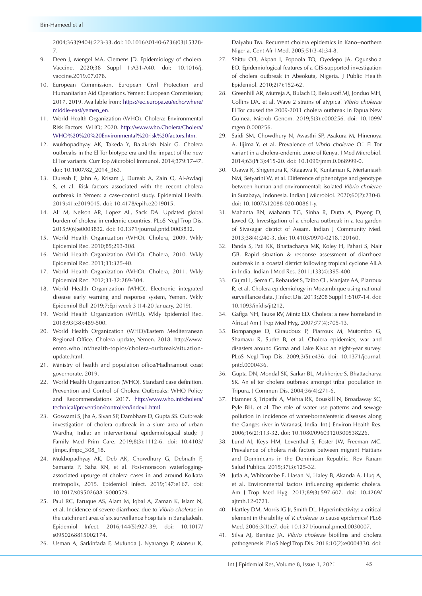2004;363(9404):223-33. doi: 10.1016/s0140-6736(03)15328- 7.

- 9. Deen J, Mengel MA, Clemens JD. Epidemiology of cholera. Vaccine. 2020;38 Suppl 1:A31-A40. doi: 10.1016/j. vaccine.2019.07.078.
- 10. European Commission. European Civil Protection and Humanitarian Aid Operations. Yemen: European Commission; 2017. 2019. Available from: [https://ec.europa.eu/echo/where/](https://ec.europa.eu/echo/where/middle-east/yemen_en) [middle-east/yemen\\_en](https://ec.europa.eu/echo/where/middle-east/yemen_en).
- 11. World Health Organization (WHO). Cholera: Environmental Risk Factors. WHO; 2020. [http://www.who.Cholera/Cholera/](http://www.who.Cholera/Cholera/WHO%20  Environmental risk factors.htm) [WHO%20%20%20Environmental%20risk%20factors.htm.](http://www.who.Cholera/Cholera/WHO%20  Environmental risk factors.htm)
- 12. Mukhopadhyay AK, Takeda Y, Balakrish Nair G. Cholera outbreaks in the El Tor biotype era and the impact of the new El Tor variants. Curr Top Microbiol Immunol. 2014;379:17-47. doi: 10.1007/82\_2014\_363.
- 13. Dureab F, Jahn A, Krisam J, Dureab A, Zain O, Al-Awlaqi S, et al. Risk factors associated with the recent cholera outbreak in Yemen: a case-control study. Epidemiol Health. 2019;41:e2019015. doi: 10.4178/epih.e2019015.
- 14. Ali M, Nelson AR, Lopez AL, Sack DA. Updated global burden of cholera in endemic countries. PLoS Negl Trop Dis. 2015;9(6):e0003832. doi: 10.1371/journal.pntd.0003832.
- 15. World Health Organization (WHO). Cholera, 2009. Wkly Epidemiol Rec. 2010;85;293-308.
- 16. World Health Organization (WHO). Cholera, 2010. Wkly Epidemiol Rec. 2011;31:325-40.
- 17. World Health Organization (WHO). Cholera, 2011. Wkly Epidemiol Rec. 2012;31-32:289-304.
- 18. World Health Organization (WHO). Electronic integrated disease early warning and response system, Yemen. Wkly Epidemiol Bull 2019;7;Epi week 3 (14-20 January, 2019).
- 19. World Health Organization (WHO). Wkly Epidemiol Rec. 2018;93(38):489-500.
- 20. World Health Organization (WHO)/Eastern Mediterranean Regional Office. Cholera update, Yemen. 2018. [http://www.](http://www.emro.who.int/health-topics/cholera-outbreak/situation-update.html) [emro.who.int/health-topics/cholera-outbreak/situation](http://www.emro.who.int/health-topics/cholera-outbreak/situation-update.html)[update.html](http://www.emro.who.int/health-topics/cholera-outbreak/situation-update.html).
- 21. Ministry of health and population office/Hadhramout coast governorate. 2019.
- 22. World Health Organization (WHO). Standard case definition. Prevention and Control of Cholera Outbreaks: WHO Policy and Recommendations 2017. [http://www.who.int/cholera/](http://www.who.int/cholera/technical/prevention/control/en/index1.html) [technical/prevention/control/en/index1.html](http://www.who.int/cholera/technical/prevention/control/en/index1.html).
- 23. Goswami S, Jha A, Sivan SP, Dambhare D, Gupta SS. Outbreak investigation of cholera outbreak in a slum area of urban Wardha, India: an interventional epidemiological study. J Family Med Prim Care. 2019;8(3):1112-6. doi: 10.4103/ jfmpc.jfmpc\_308\_18.
- 24. Mukhopadhyay AK, Deb AK, Chowdhury G, Debnath F, Samanta P, Saha RN, et al. Post-monsoon waterloggingassociated upsurge of cholera cases in and around Kolkata metropolis, 2015. Epidemiol Infect. 2019;147:e167. doi: 10.1017/s0950268819000529.
- 25. Paul RC, Faruque AS, Alam M, Iqbal A, Zaman K, Islam N, et al. Incidence of severe diarrhoea due to *Vibrio cholerae* in the catchment area of six surveillance hospitals in Bangladesh. Epidemiol Infect. 2016;144(5):927-39. doi: 10.1017/ s0950268815002174.
- 26. Usman A, Sarkinfada F, Mufunda J, Nyarango P, Mansur K,

Daiyabu TM. Recurrent cholera epidemics in Kano--northern Nigeria. Cent Afr J Med. 2005;51(3-4):34-8.

- 27. Shittu OB, Akpan I, Popoola TO, Oyedepo JA, Ogunshola EO. Epidemiological features of a GIS-supported investigation of cholera outbreak in Abeokuta, Nigeria. J Public Health Epidemiol. 2010;2(7):152-62.
- 28. Greenhill AR, Mutreja A, Bulach D, Belousoff MJ, Jonduo MH, Collins DA, et al. Wave 2 strains of atypical *Vibrio cholerae* El Tor caused the 2009-2011 cholera outbreak in Papua New Guinea. Microb Genom. 2019;5(3):e000256. doi: 10.1099/ mgen.0.000256.
- 29. Saidi SM, Chowdhury N, Awasthi SP, Asakura M, Hinenoya A, Iijima Y, et al. Prevalence of *Vibrio cholerae* O1 El Tor variant in a cholera-endemic zone of Kenya. J Med Microbiol. 2014;63(Pt 3):415-20. doi: 10.1099/jmm.0.068999-0.
- 30. Osawa K, Shigemura K, Kitagawa K, Kuntaman K, Mertaniasih NM, Setyarini W, et al. Difference of phenotype and genotype between human and environmental: isolated *Vibrio cholerae* in Surabaya, Indonesia. Indian J Microbiol. 2020;60(2):230-8. doi: 10.1007/s12088-020-00861-y.
- 31. Mahanta BN, Mahanta TG, Sinha R, Dutta A, Payeng D, Jawed Q. Investigation of a cholera outbreak in a tea garden of Sivasagar district of Assam. Indian J Community Med. 2013;38(4):240-3. doi: 10.4103/0970-0218.120160.
- 32. Panda S, Pati KK, Bhattacharya MK, Koley H, Pahari S, Nair GB. Rapid situation & response assessment of diarrhoea outbreak in a coastal district following tropical cyclone AILA in India. Indian J Med Res. 2011;133(4):395-400.
- 33. Gujral L, Sema C, Rebaudet S, Taibo CL, Manjate AA, Piarroux R, et al. Cholera epidemiology in Mozambique using national surveillance data. J Infect Dis. 2013;208 Suppl 1:S107-14. doi: 10.1093/infdis/jit212.
- 34. Gaffga NH, Tauxe RV, Mintz ED. Cholera: a new homeland in Africa? Am J Trop Med Hyg. 2007;77(4):705-13.
- 35. Bompangue D, Giraudoux P, Piarroux M, Mutombo G, Shamavu R, Sudre B, et al. Cholera epidemics, war and disasters around Goma and Lake Kivu: an eight-year survey. PLoS Negl Trop Dis. 2009;3(5):e436. doi: 10.1371/journal. pntd.0000436.
- 36. Gupta DN, Mondal SK, Sarkar BL, Mukherjee S, Bhattacharya SK. An el tor cholera outbreak amongst tribal population in Tripura. J Commun Dis. 2004;36(4):271-6.
- 37. Hamner S, Tripathi A, Mishra RK, Bouskill N, Broadaway SC, Pyle BH, et al. The role of water use patterns and sewage pollution in incidence of water-borne/enteric diseases along the Ganges river in Varanasi, India. Int J Environ Health Res. 2006;16(2):113-32. doi: 10.1080/09603120500538226.
- 38. Lund AJ, Keys HM, Leventhal S, Foster JW, Freeman MC. Prevalence of cholera risk factors between migrant Haitians and Dominicans in the Dominican Republic. Rev Panam Salud Publica. 2015;37(3):125-32.
- 39. Jutla A, Whitcombe E, Hasan N, Haley B, Akanda A, Huq A, et al. Environmental factors influencing epidemic cholera. Am J Trop Med Hyg. 2013;89(3):597-607. doi: 10.4269/ ajtmh.12-0721.
- 40. Hartley DM, Morris JG Jr, Smith DL. Hyperinfectivity: a critical element in the ability of *V. cholerae* to cause epidemics? PLoS Med. 2006;3(1):e7. doi: 10.1371/journal.pmed.0030007.
- 41. Silva AJ, Benitez JA. *Vibrio cholerae* biofilms and cholera pathogenesis. PLoS Negl Trop Dis. 2016;10(2):e0004330. doi: